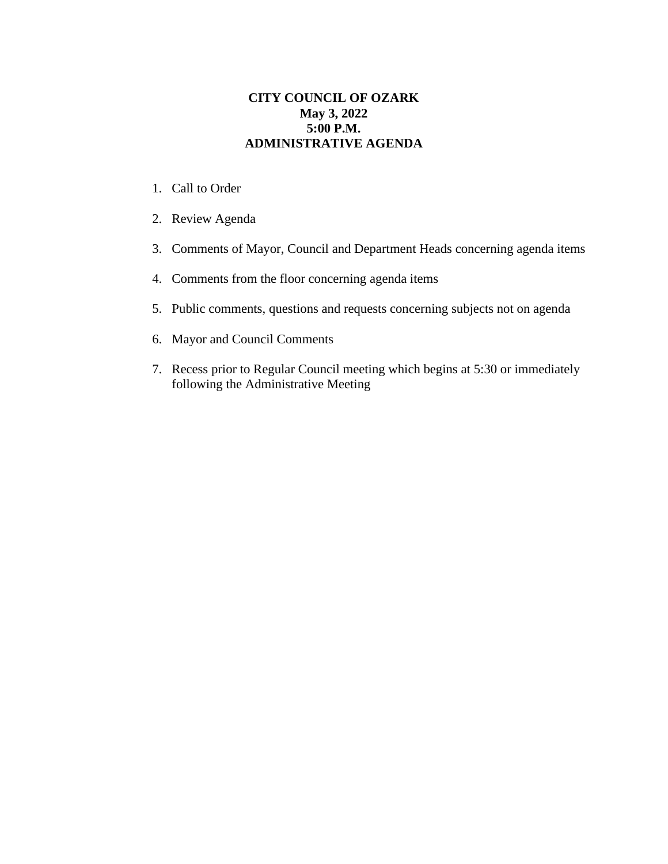## **CITY COUNCIL OF OZARK May 3, 2022 5:00 P.M. ADMINISTRATIVE AGENDA**

- 1. Call to Order
- 2. Review Agenda
- 3. Comments of Mayor, Council and Department Heads concerning agenda items
- 4. Comments from the floor concerning agenda items
- 5. Public comments, questions and requests concerning subjects not on agenda
- 6. Mayor and Council Comments
- 7. Recess prior to Regular Council meeting which begins at 5:30 or immediately following the Administrative Meeting